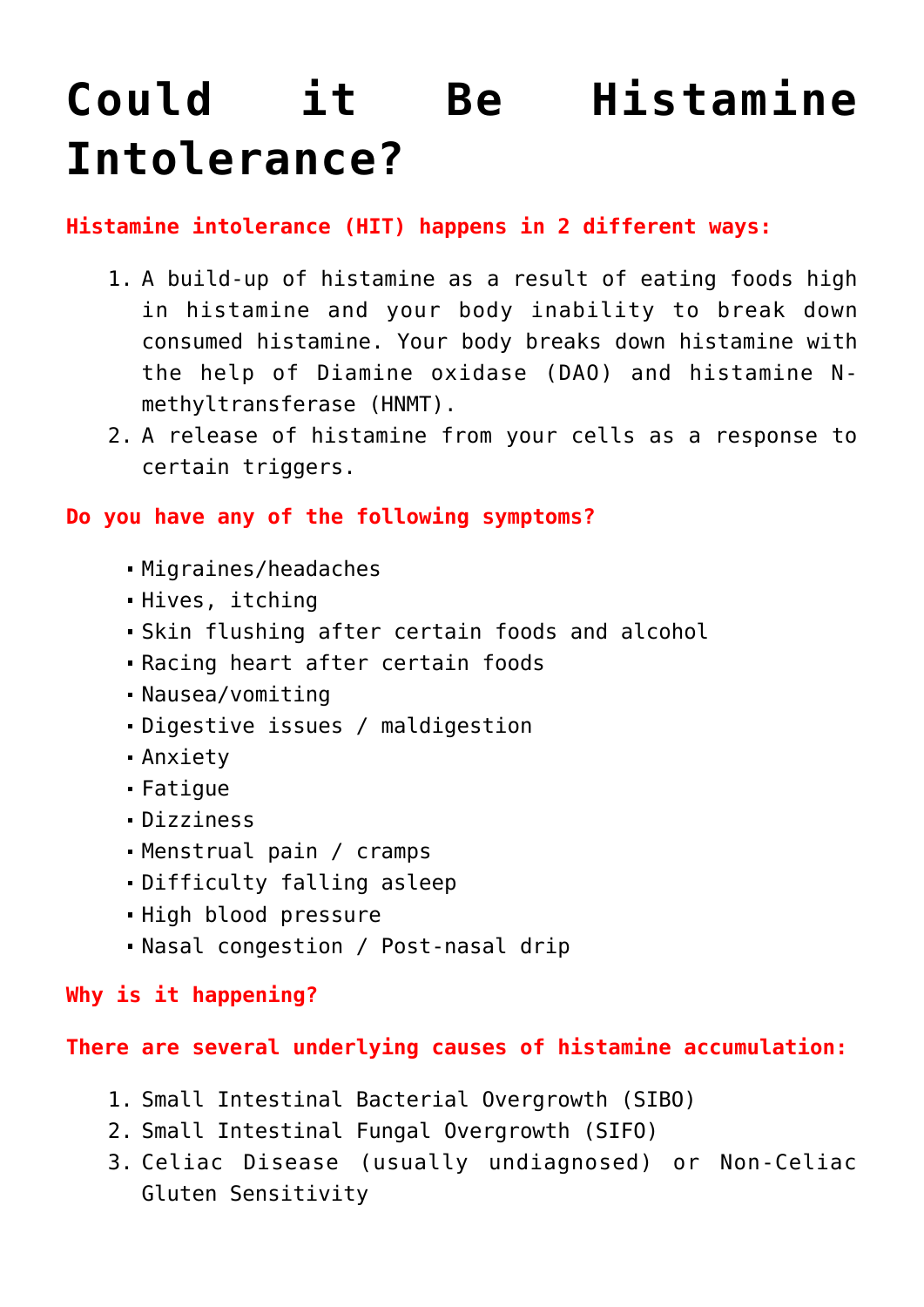# **[Could it Be Histamine](https://sproutshealth.com/could-it-be-histamine-intolerance/) [Intolerance?](https://sproutshealth.com/could-it-be-histamine-intolerance/)**

## **Histamine intolerance (HIT) happens in 2 different ways:**

- 1. A build-up of histamine as a result of eating foods high in histamine and your body inability to break down consumed histamine. Your body breaks down histamine with the help of Diamine oxidase (DAO) and histamine Nmethyltransferase (HNMT).
- 2. A release of histamine from your cells as a response to certain triggers.

# **Do you have any of the following symptoms?**

- Migraines/headaches
- Hives, itching
- Skin flushing after certain foods and alcohol
- Racing heart after certain foods
- Nausea/vomiting
- Digestive issues / maldigestion
- Anxiety
- Fatigue
- Dizziness
- Menstrual pain / cramps
- Difficulty falling asleep
- High blood pressure
- Nasal congestion / Post-nasal drip

#### **Why is it happening?**

#### **There are several underlying causes of histamine accumulation:**

- 1. Small Intestinal Bacterial Overgrowth (SIBO)
- 2. Small Intestinal Fungal Overgrowth (SIFO)
- 3. Celiac Disease (usually undiagnosed) or Non-Celiac Gluten Sensitivity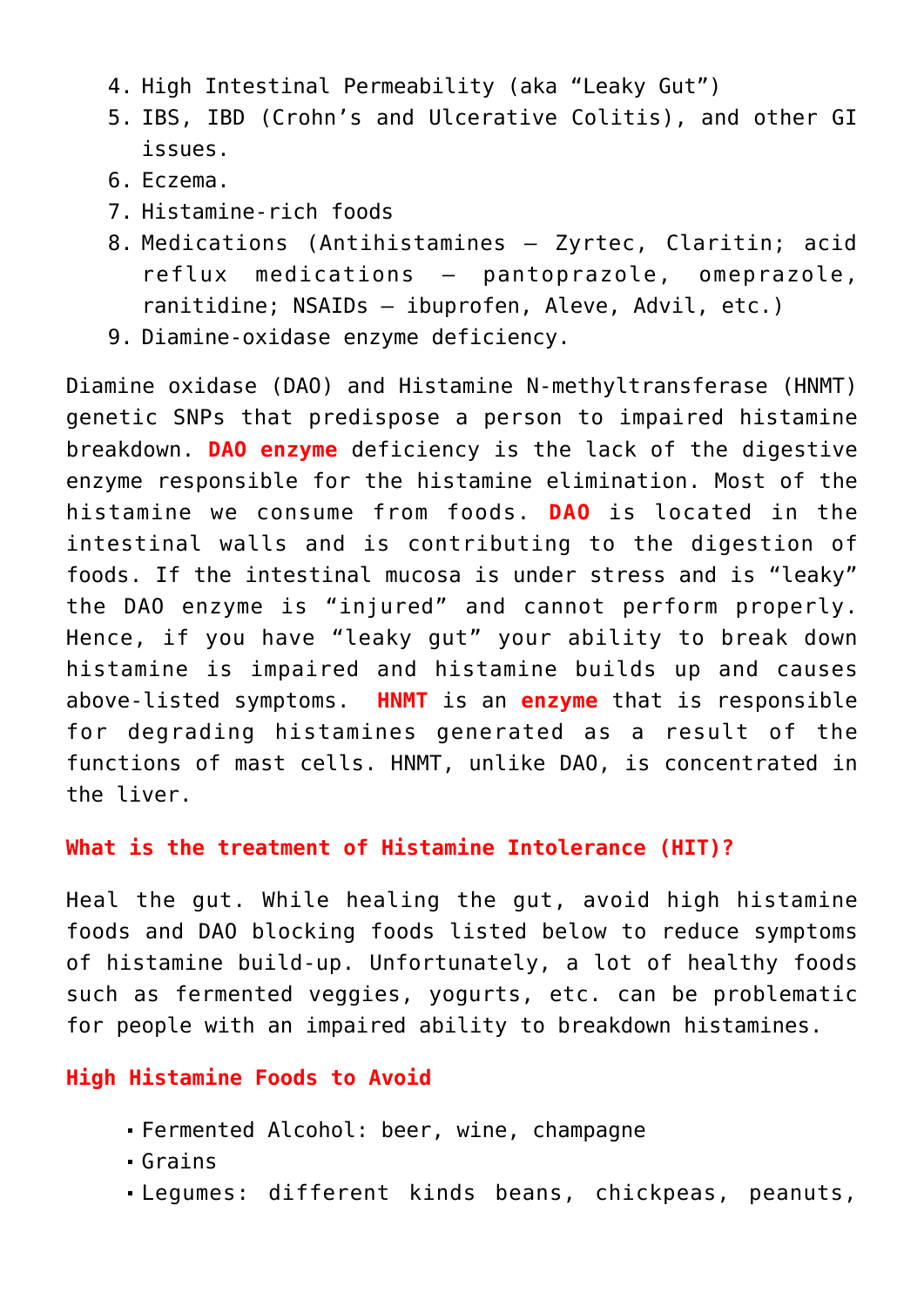- 4. High Intestinal Permeability (aka "Leaky Gut")
- 5. IBS, IBD (Crohn's and Ulcerative Colitis), and other GI issues.
- 6. Eczema.
- 7. Histamine-rich foods
- 8. Medications (Antihistamines Zyrtec, Claritin; acid reflux medications – pantoprazole, omeprazole, ranitidine; NSAIDs – ibuprofen, Aleve, Advil, etc.)
- 9. Diamine-oxidase enzyme deficiency.

Diamine oxidase (DAO) and Histamine N-methyltransferase (HNMT) genetic SNPs that predispose a person to impaired histamine breakdown. **DAO enzyme** deficiency is the lack of the digestive enzyme responsible for the histamine elimination. Most of the histamine we consume from foods. **DAO** is located in the intestinal walls and is contributing to the digestion of foods. If the intestinal mucosa is under stress and is "leaky" the DAO enzyme is "injured" and cannot perform properly. Hence, if you have "leaky gut" your ability to break down histamine is impaired and histamine builds up and causes above-listed symptoms. **HNMT** is an **enzyme** that is responsible for degrading histamines generated as a result of the functions of mast cells. HNMT, unlike DAO, is concentrated in the liver.

#### **What is the treatment of Histamine Intolerance (HIT)?**

Heal the gut. While healing the gut, avoid high histamine foods and DAO blocking foods listed below to reduce symptoms of histamine build-up. Unfortunately, a lot of healthy foods such as fermented veggies, yogurts, etc. can be problematic for people with an impaired ability to breakdown histamines.

#### **High Histamine Foods to Avoid**

- Fermented Alcohol: beer, wine, champagne
- Grains
- Legumes: different kinds beans, chickpeas, peanuts,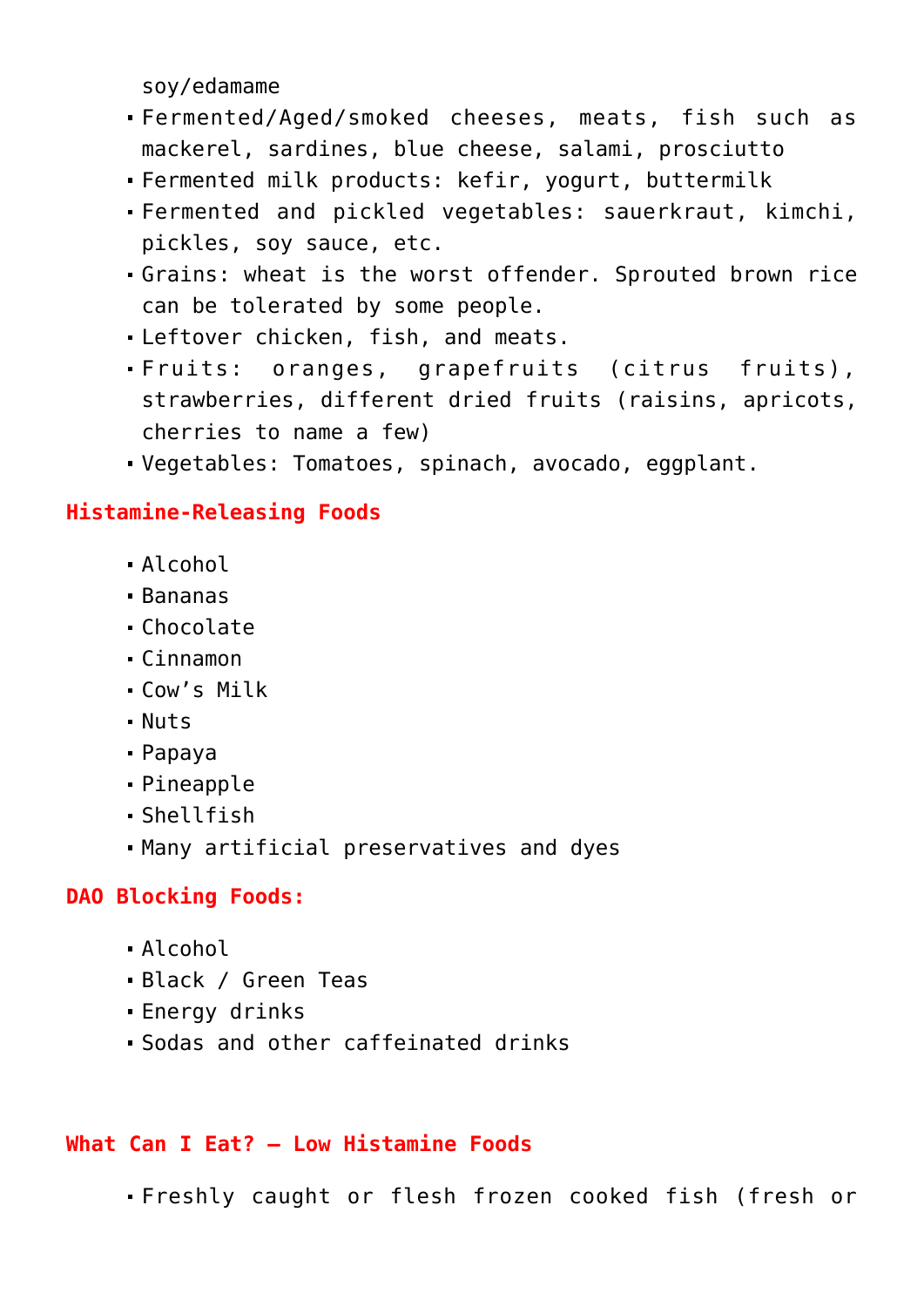soy/edamame

- Fermented/Aged/smoked cheeses, meats, fish such as mackerel, sardines, blue cheese, salami, prosciutto
- Fermented milk products: kefir, yogurt, buttermilk
- Fermented and pickled vegetables: sauerkraut, kimchi, pickles, soy sauce, etc.
- Grains: wheat is the worst offender. Sprouted brown rice can be tolerated by some people.
- Leftover chicken, fish, and meats.
- Fruits: oranges, grapefruits (citrus fruits), strawberries, different dried fruits (raisins, apricots, cherries to name a few)
- Vegetables: Tomatoes, spinach, avocado, eggplant.

## **Histamine-Releasing Foods**

- Alcohol
- Bananas
- Chocolate
- Cinnamon
- Cow's Milk
- Nuts
- Papaya
- Pineapple
- Shellfish
- Many artificial preservatives and dyes

# **DAO Blocking Foods:**

- Alcohol
- Black / Green Teas
- Energy drinks
- Sodas and other caffeinated drinks

# **What Can I Eat? – Low Histamine Foods**

Freshly caught or flesh frozen cooked fish (fresh or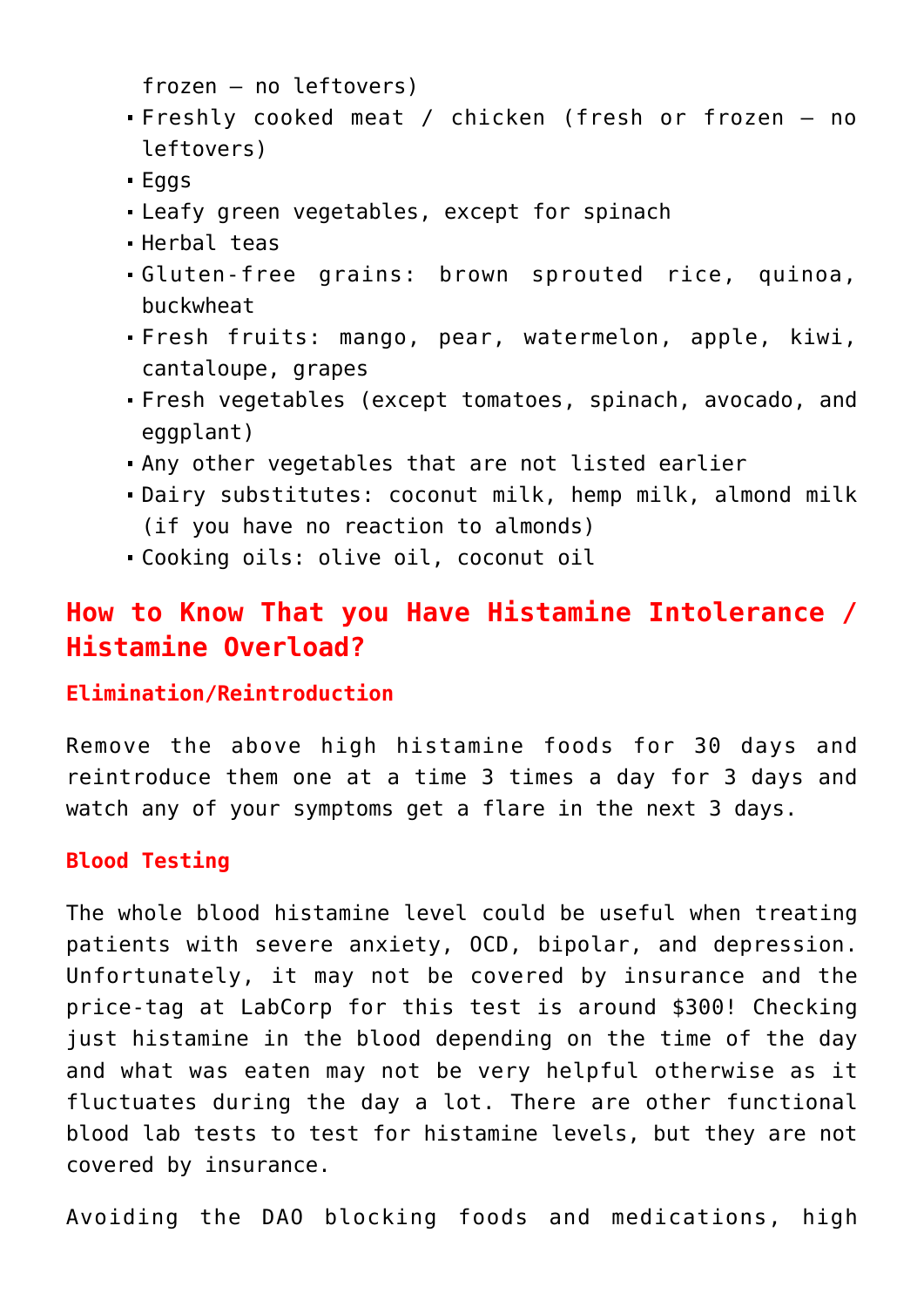frozen – no leftovers)

- Freshly cooked meat / chicken (fresh or frozen no leftovers)
- Eggs
- Leafy green vegetables, except for spinach
- Herbal teas
- Gluten-free grains: brown sprouted rice, quinoa, buckwheat
- Fresh fruits: mango, pear, watermelon, apple, kiwi, cantaloupe, grapes
- Fresh vegetables (except tomatoes, spinach, avocado, and eggplant)
- Any other vegetables that are not listed earlier
- Dairy substitutes: coconut milk, hemp milk, almond milk (if you have no reaction to almonds)
- Cooking oils: olive oil, coconut oil

# **How to Know That you Have Histamine Intolerance / Histamine Overload?**

#### **Elimination/Reintroduction**

Remove the above high histamine foods for 30 days and reintroduce them one at a time 3 times a day for 3 days and watch any of your symptoms get a flare in the next 3 days.

#### **Blood Testing**

The whole blood histamine level could be useful when treating patients with severe anxiety, OCD, bipolar, and depression. Unfortunately, it may not be covered by insurance and the price-tag at LabCorp for this test is around \$300! Checking just histamine in the blood depending on the time of the day and what was eaten may not be very helpful otherwise as it fluctuates during the day a lot. There are other functional blood lab tests to test for histamine levels, but they are not covered by insurance.

Avoiding the DAO blocking foods and medications, high